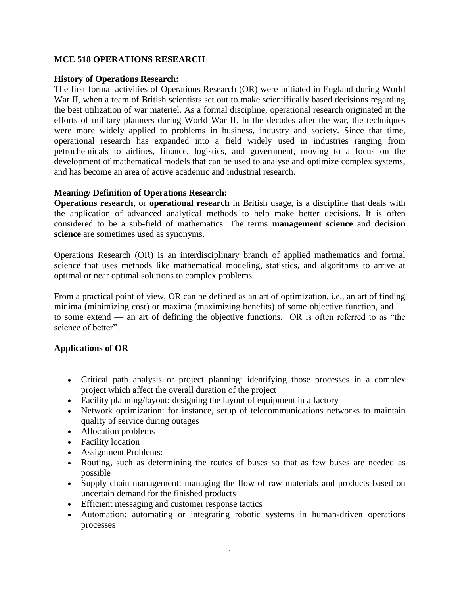# **MCE 518 OPERATIONS RESEARCH**

#### **History of Operations Research:**

The first formal activities of Operations Research (OR) were initiated in England during World War II, when a team of British scientists set out to make scientifically based decisions regarding the best utilization of war materiel. As a formal discipline, operational research originated in the efforts of military planners during World War II. In the decades after the war, the techniques were more widely applied to problems in business, industry and society. Since that time, operational research has expanded into a field widely used in industries ranging from petrochemicals to airlines, finance, logistics, and government, moving to a focus on the development of mathematical models that can be used to analyse and optimize complex systems, and has become an area of active academic and industrial research.

#### **Meaning/ Definition of Operations Research:**

**Operations research**, or **operational research** in British usage, is a discipline that deals with the application of advanced analytical methods to help make better decisions. It is often considered to be a sub-field of mathematics. The terms **management science** and **decision science** are sometimes used as synonyms.

Operations Research (OR) is an interdisciplinary branch of applied mathematics and formal science that uses methods like mathematical modeling, statistics, and algorithms to arrive at optimal or near optimal solutions to complex problems.

From a practical point of view, OR can be defined as an art of optimization, i.e., an art of finding minima (minimizing cost) or maxima (maximizing benefits) of some objective function, and to some extend — an art of defining the objective functions. OR is often referred to as "the science of better".

## **Applications of OR**

- [Critical path analysis](http://en.wikipedia.org/wiki/Critical_path_analysis) or [project planning:](http://en.wikipedia.org/wiki/Project_planning) identifying those processes in a complex project which affect the overall duration of the project
- [Facility planning/](http://en.wikipedia.org/wiki/Floorplanning)layout: designing the layout of equipment in a factory
- [Network optimization:](http://en.wikipedia.org/wiki/Telecommunications_network) for instance, setup of telecommunications networks to maintain quality of service during outages
- Allocation problems
- [Facility location](http://en.wikipedia.org/wiki/Facility_location)
- Assignment Problems:
- [Routing,](http://en.wikipedia.org/wiki/Routing) such as determining the routes of buses so that as few buses are needed as possible
- [Supply chain management:](http://en.wikipedia.org/wiki/Supply_chain_management) managing the flow of raw materials and products based on uncertain demand for the finished products
- Efficient messaging and customer response tactics
- [Automation:](http://en.wikipedia.org/wiki/Automation) automating or integrating robotic systems in human-driven operations processes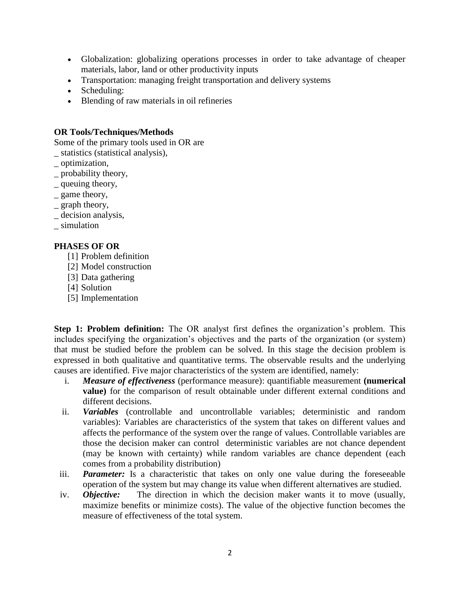- [Globalization:](http://en.wikipedia.org/wiki/Globalization) globalizing operations processes in order to take advantage of cheaper materials, labor, land or other productivity inputs
- Transportation: managing [freight](http://en.wikipedia.org/wiki/Freight) transportation and delivery systems
- [Scheduling:](http://en.wikipedia.org/wiki/Scheduling_algorithm)
- Blending of raw materials in oil refineries

## **OR Tools/Techniques/Methods**

Some of the primary tools used in OR are

- \_ statistics (statistical analysis),
- \_ optimization,
- \_ probability theory,
- \_ queuing theory,
- \_ game theory,
- $=$  graph theory,
- decision analysis,
- \_ simulation

## **PHASES OF OR**

- [1] Problem definition
- [2] Model construction
- [3] Data gathering
- [4] Solution
- [5] Implementation

**Step 1: Problem definition:** The OR analyst first defines the organization's problem. This includes specifying the organization's objectives and the parts of the organization (or system) that must be studied before the problem can be solved. In this stage the decision problem is expressed in both qualitative and quantitative terms. The observable results and the underlying causes are identified. Five major characteristics of the system are identified, namely:

- i. *Measure of effectiveness* (performance measure): quantifiable measurement **(numerical value)** for the comparison of result obtainable under different external conditions and different decisions.
- ii. *Variables* (controllable and uncontrollable variables; deterministic and random variables): Variables are characteristics of the system that takes on different values and affects the performance of the system over the range of values. Controllable variables are those the decision maker can control deterministic variables are not chance dependent (may be known with certainty) while random variables are chance dependent (each comes from a probability distribution)
- iii. *Parameter:* Is a characteristic that takes on only one value during the foreseeable operation of the system but may change its value when different alternatives are studied.
- iv. *Objective:* The direction in which the decision maker wants it to move (usually, maximize benefits or minimize costs). The value of the objective function becomes the measure of effectiveness of the total system.